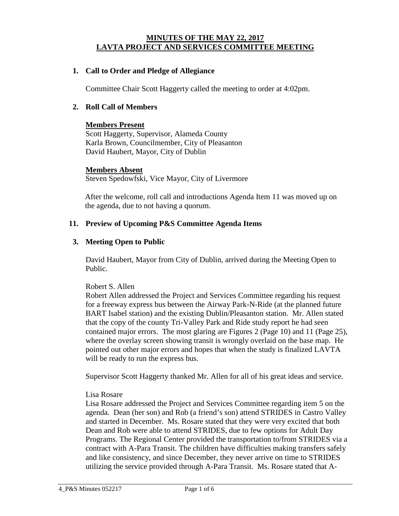### **MINUTES OF THE MAY 22, 2017 LAVTA PROJECT AND SERVICES COMMITTEE MEETING**

### **1. Call to Order and Pledge of Allegiance**

Committee Chair Scott Haggerty called the meeting to order at 4:02pm.

#### **2. Roll Call of Members**

#### **Members Present**

Scott Haggerty, Supervisor, Alameda County Karla Brown, Councilmember, City of Pleasanton David Haubert, Mayor, City of Dublin

#### **Members Absent**

Steven Spedowfski, Vice Mayor, City of Livermore

After the welcome, roll call and introductions Agenda Item 11 was moved up on the agenda, due to not having a quorum.

#### **11. Preview of Upcoming P&S Committee Agenda Items**

#### **3. Meeting Open to Public**

David Haubert, Mayor from City of Dublin, arrived during the Meeting Open to Public.

### Robert S. Allen

Robert Allen addressed the Project and Services Committee regarding his request for a freeway express bus between the Airway Park-N-Ride (at the planned future BART Isabel station) and the existing Dublin/Pleasanton station. Mr. Allen stated that the copy of the county Tri-Valley Park and Ride study report he had seen contained major errors. The most glaring are Figures 2 (Page 10) and 11 (Page 25), where the overlay screen showing transit is wrongly overlaid on the base map. He pointed out other major errors and hopes that when the study is finalized LAVTA will be ready to run the express bus.

Supervisor Scott Haggerty thanked Mr. Allen for all of his great ideas and service.

#### Lisa Rosare

Lisa Rosare addressed the Project and Services Committee regarding item 5 on the agenda. Dean (her son) and Rob (a friend's son) attend STRIDES in Castro Valley and started in December. Ms. Rosare stated that they were very excited that both Dean and Rob were able to attend STRIDES, due to few options for Adult Day Programs. The Regional Center provided the transportation to/from STRIDES via a contract with A-Para Transit. The children have difficulties making transfers safely and like consistency, and since December, they never arrive on time to STRIDES utilizing the service provided through A-Para Transit. Ms. Rosare stated that A-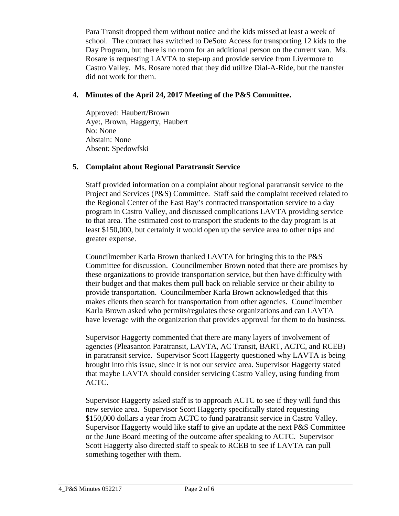Para Transit dropped them without notice and the kids missed at least a week of school. The contract has switched to DeSoto Access for transporting 12 kids to the Day Program, but there is no room for an additional person on the current van. Ms. Rosare is requesting LAVTA to step-up and provide service from Livermore to Castro Valley. Ms. Rosare noted that they did utilize Dial-A-Ride, but the transfer did not work for them.

# **4. Minutes of the April 24, 2017 Meeting of the P&S Committee.**

Approved: Haubert/Brown Aye:, Brown, Haggerty, Haubert No: None Abstain: None Absent: Spedowfski

## **5. Complaint about Regional Paratransit Service**

Staff provided information on a complaint about regional paratransit service to the Project and Services (P&S) Committee. Staff said the complaint received related to the Regional Center of the East Bay's contracted transportation service to a day program in Castro Valley, and discussed complications LAVTA providing service to that area. The estimated cost to transport the students to the day program is at least \$150,000, but certainly it would open up the service area to other trips and greater expense.

Councilmember Karla Brown thanked LAVTA for bringing this to the P&S Committee for discussion. Councilmember Brown noted that there are promises by these organizations to provide transportation service, but then have difficulty with their budget and that makes them pull back on reliable service or their ability to provide transportation. Councilmember Karla Brown acknowledged that this makes clients then search for transportation from other agencies. Councilmember Karla Brown asked who permits/regulates these organizations and can LAVTA have leverage with the organization that provides approval for them to do business.

Supervisor Haggerty commented that there are many layers of involvement of agencies (Pleasanton Paratransit, LAVTA, AC Transit, BART, ACTC, and RCEB) in paratransit service. Supervisor Scott Haggerty questioned why LAVTA is being brought into this issue, since it is not our service area. Supervisor Haggerty stated that maybe LAVTA should consider servicing Castro Valley, using funding from ACTC.

Supervisor Haggerty asked staff is to approach ACTC to see if they will fund this new service area. Supervisor Scott Haggerty specifically stated requesting \$150,000 dollars a year from ACTC to fund paratransit service in Castro Valley. Supervisor Haggerty would like staff to give an update at the next P&S Committee or the June Board meeting of the outcome after speaking to ACTC. Supervisor Scott Haggerty also directed staff to speak to RCEB to see if LAVTA can pull something together with them.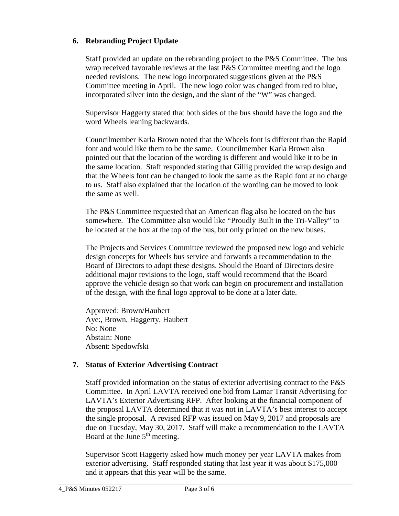# **6. Rebranding Project Update**

Staff provided an update on the rebranding project to the P&S Committee. The bus wrap received favorable reviews at the last P&S Committee meeting and the logo needed revisions. The new logo incorporated suggestions given at the P&S Committee meeting in April. The new logo color was changed from red to blue, incorporated silver into the design, and the slant of the "W" was changed.

Supervisor Haggerty stated that both sides of the bus should have the logo and the word Wheels leaning backwards.

Councilmember Karla Brown noted that the Wheels font is different than the Rapid font and would like them to be the same. Councilmember Karla Brown also pointed out that the location of the wording is different and would like it to be in the same location. Staff responded stating that Gillig provided the wrap design and that the Wheels font can be changed to look the same as the Rapid font at no charge to us. Staff also explained that the location of the wording can be moved to look the same as well.

The P&S Committee requested that an American flag also be located on the bus somewhere. The Committee also would like "Proudly Built in the Tri-Valley" to be located at the box at the top of the bus, but only printed on the new buses.

The Projects and Services Committee reviewed the proposed new logo and vehicle design concepts for Wheels bus service and forwards a recommendation to the Board of Directors to adopt these designs. Should the Board of Directors desire additional major revisions to the logo, staff would recommend that the Board approve the vehicle design so that work can begin on procurement and installation of the design, with the final logo approval to be done at a later date.

Approved: Brown/Haubert Aye:, Brown, Haggerty, Haubert No: None Abstain: None Absent: Spedowfski

## **7. Status of Exterior Advertising Contract**

Staff provided information on the status of exterior advertising contract to the P&S Committee. In April LAVTA received one bid from Lamar Transit Advertising for LAVTA's Exterior Advertising RFP. After looking at the financial component of the proposal LAVTA determined that it was not in LAVTA's best interest to accept the single proposal. A revised RFP was issued on May 9, 2017 and proposals are due on Tuesday, May 30, 2017. Staff will make a recommendation to the LAVTA Board at the June  $5<sup>th</sup>$  meeting.

Supervisor Scott Haggerty asked how much money per year LAVTA makes from exterior advertising. Staff responded stating that last year it was about \$175,000 and it appears that this year will be the same.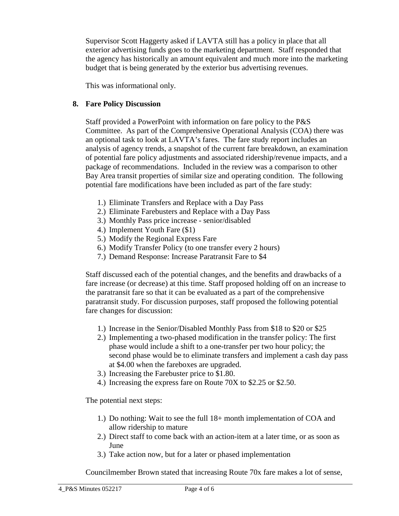Supervisor Scott Haggerty asked if LAVTA still has a policy in place that all exterior advertising funds goes to the marketing department. Staff responded that the agency has historically an amount equivalent and much more into the marketing budget that is being generated by the exterior bus advertising revenues.

This was informational only.

### **8. Fare Policy Discussion**

Staff provided a PowerPoint with information on fare policy to the P&S Committee. As part of the Comprehensive Operational Analysis (COA) there was an optional task to look at LAVTA's fares. The fare study report includes an analysis of agency trends, a snapshot of the current fare breakdown, an examination of potential fare policy adjustments and associated ridership/revenue impacts, and a package of recommendations. Included in the review was a comparison to other Bay Area transit properties of similar size and operating condition. The following potential fare modifications have been included as part of the fare study:

- 1.) Eliminate Transfers and Replace with a Day Pass
- 2.) Eliminate Farebusters and Replace with a Day Pass
- 3.) Monthly Pass price increase senior/disabled
- 4.) Implement Youth Fare (\$1)
- 5.) Modify the Regional Express Fare
- 6.) Modify Transfer Policy (to one transfer every 2 hours)
- 7.) Demand Response: Increase Paratransit Fare to \$4

Staff discussed each of the potential changes, and the benefits and drawbacks of a fare increase (or decrease) at this time. Staff proposed holding off on an increase to the paratransit fare so that it can be evaluated as a part of the comprehensive paratransit study. For discussion purposes, staff proposed the following potential fare changes for discussion:

- 1.) Increase in the Senior/Disabled Monthly Pass from \$18 to \$20 or \$25
- 2.) Implementing a two-phased modification in the transfer policy: The first phase would include a shift to a one-transfer per two hour policy; the second phase would be to eliminate transfers and implement a cash day pass at \$4.00 when the fareboxes are upgraded.
- 3.) Increasing the Farebuster price to \$1.80.
- 4.) Increasing the express fare on Route 70X to \$2.25 or \$2.50.

The potential next steps:

- 1.) Do nothing: Wait to see the full 18+ month implementation of COA and allow ridership to mature
- 2.) Direct staff to come back with an action-item at a later time, or as soon as June
- 3.) Take action now, but for a later or phased implementation

Councilmember Brown stated that increasing Route 70x fare makes a lot of sense,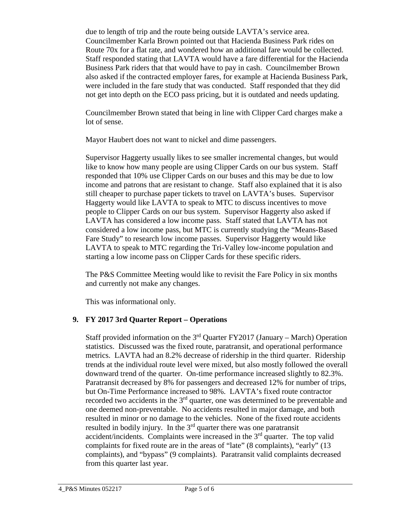due to length of trip and the route being outside LAVTA's service area. Councilmember Karla Brown pointed out that Hacienda Business Park rides on Route 70x for a flat rate, and wondered how an additional fare would be collected. Staff responded stating that LAVTA would have a fare differential for the Hacienda Business Park riders that that would have to pay in cash. Councilmember Brown also asked if the contracted employer fares, for example at Hacienda Business Park, were included in the fare study that was conducted. Staff responded that they did not get into depth on the ECO pass pricing, but it is outdated and needs updating.

Councilmember Brown stated that being in line with Clipper Card charges make a lot of sense.

Mayor Haubert does not want to nickel and dime passengers.

Supervisor Haggerty usually likes to see smaller incremental changes, but would like to know how many people are using Clipper Cards on our bus system. Staff responded that 10% use Clipper Cards on our buses and this may be due to low income and patrons that are resistant to change. Staff also explained that it is also still cheaper to purchase paper tickets to travel on LAVTA's buses. Supervisor Haggerty would like LAVTA to speak to MTC to discuss incentives to move people to Clipper Cards on our bus system. Supervisor Haggerty also asked if LAVTA has considered a low income pass. Staff stated that LAVTA has not considered a low income pass, but MTC is currently studying the "Means-Based Fare Study" to research low income passes. Supervisor Haggerty would like LAVTA to speak to MTC regarding the Tri-Valley low-income population and starting a low income pass on Clipper Cards for these specific riders.

The P&S Committee Meeting would like to revisit the Fare Policy in six months and currently not make any changes.

This was informational only.

## **9. FY 2017 3rd Quarter Report – Operations**

Staff provided information on the  $3<sup>rd</sup>$  Quarter FY2017 (January – March) Operation statistics. Discussed was the fixed route, paratransit, and operational performance metrics. LAVTA had an 8.2% decrease of ridership in the third quarter. Ridership trends at the individual route level were mixed, but also mostly followed the overall downward trend of the quarter. On-time performance increased slightly to 82.3%. Paratransit decreased by 8% for passengers and decreased 12% for number of trips, but On-Time Performance increased to 98%. LAVTA's fixed route contractor recorded two accidents in the 3<sup>rd</sup> quarter, one was determined to be preventable and one deemed non-preventable. No accidents resulted in major damage, and both resulted in minor or no damage to the vehicles. None of the fixed route accidents resulted in bodily injury. In the  $3<sup>rd</sup>$  quarter there was one paratransit accident/incidents. Complaints were increased in the  $3<sup>rd</sup>$  quarter. The top valid complaints for fixed route are in the areas of "late" (8 complaints), "early" (13 complaints), and "bypass" (9 complaints). Paratransit valid complaints decreased from this quarter last year.